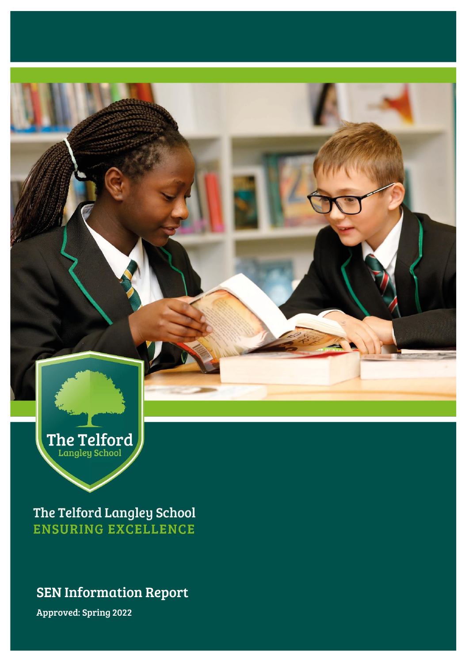

The Telford Langley School **ENSURING EXCELLENCE** 

## SEN Information Report

Approved: Spring 2022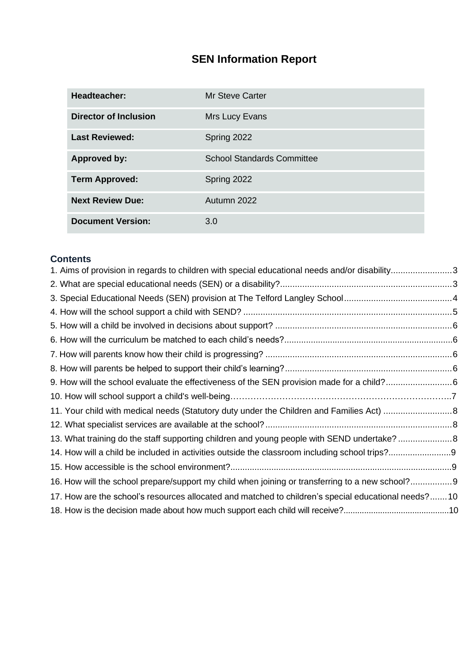# **SEN Information Report**

| <b>Headteacher:</b>          | <b>Mr Steve Carter</b>            |
|------------------------------|-----------------------------------|
| <b>Director of Inclusion</b> | Mrs Lucy Evans                    |
| <b>Last Reviewed:</b>        | Spring 2022                       |
| <b>Approved by:</b>          | <b>School Standards Committee</b> |
| <b>Term Approved:</b>        | Spring 2022                       |
| <b>Next Review Due:</b>      | Autumn 2022                       |
| <b>Document Version:</b>     | 3.0                               |

## **Contents**

| 1. Aims of provision in regards to children with special educational needs and/or disability3       |  |
|-----------------------------------------------------------------------------------------------------|--|
|                                                                                                     |  |
|                                                                                                     |  |
|                                                                                                     |  |
|                                                                                                     |  |
|                                                                                                     |  |
|                                                                                                     |  |
|                                                                                                     |  |
| 9. How will the school evaluate the effectiveness of the SEN provision made for a child?6           |  |
|                                                                                                     |  |
|                                                                                                     |  |
|                                                                                                     |  |
| 13. What training do the staff supporting children and young people with SEND undertake?8           |  |
|                                                                                                     |  |
|                                                                                                     |  |
| 16. How will the school prepare/support my child when joining or transferring to a new school?9     |  |
| 17. How are the school's resources allocated and matched to children's special educational needs?10 |  |
|                                                                                                     |  |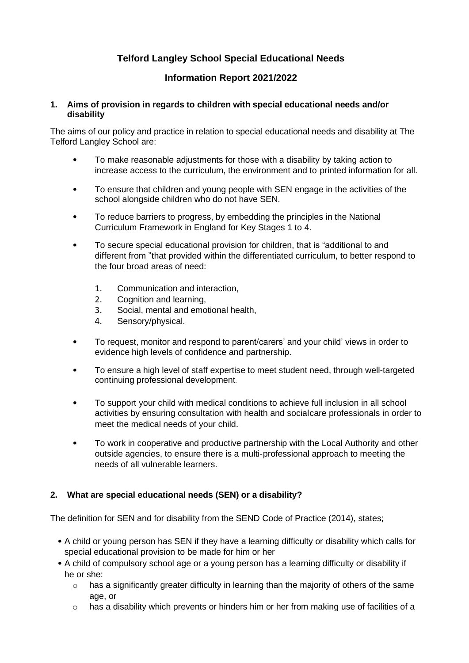### **Telford Langley School Special Educational Needs**

#### **Information Report 2021/2022**

#### <span id="page-2-0"></span>**1. Aims of provision in regards to children with special educational needs and/or disability**

The aims of our policy and practice in relation to special educational needs and disability at The Telford Langley School are:

- To make reasonable adjustments for those with a disability by taking action to increase access to the curriculum, the environment and to printed information for all.
- To ensure that children and young people with SEN engage in the activities of the school alongside children who do not have SEN.
- To reduce barriers to progress, by embedding the principles in the National Curriculum Framework in England for Key Stages 1 to 4.
- To secure special educational provision for children, that is "additional to and different from "that provided within the differentiated curriculum, to better respond to the four broad areas of need:
	- 1. Communication and interaction,
	- 2. Cognition and learning,
	- 3. Social, mental and emotional health,
	- 4. Sensory/physical.
- To request, monitor and respond to parent/carers' and your child' views in order to evidence high levels of confidence and partnership.
- To ensure a high level of staff expertise to meet student need, through well-targeted continuing professional development.
- To support your child with medical conditions to achieve full inclusion in all school activities by ensuring consultation with health and socialcare professionals in order to meet the medical needs of your child.
- To work in cooperative and productive partnership with the Local Authority and other outside agencies, to ensure there is a multi-professional approach to meeting the needs of all vulnerable learners.

#### <span id="page-2-1"></span>**2. What are special educational needs (SEN) or a disability?**

The definition for SEN and for disability from the SEND Code of Practice (2014), states;

- A child or young person has SEN if they have a learning difficulty or disability which calls for special educational provision to be made for him or her
- A child of compulsory school age or a young person has a learning difficulty or disability if he or she:
	- o has a significantly greater difficulty in learning than the majority of others of the same age, or
	- o has a disability which prevents or hinders him or her from making use of facilities of a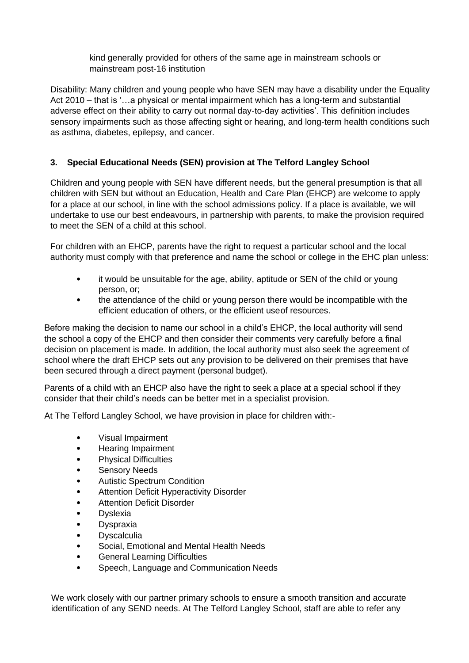kind generally provided for others of the same age in mainstream schools or mainstream post-16 institution

Disability: Many children and young people who have SEN may have a disability under the Equality Act 2010 – that is '…a physical or mental impairment which has a long-term and substantial adverse effect on their ability to carry out normal day-to-day activities'. This definition includes sensory impairments such as those affecting sight or hearing, and long-term health conditions such as asthma, diabetes, epilepsy, and cancer.

#### <span id="page-3-0"></span>**3. Special Educational Needs (SEN) provision at The Telford Langley School**

Children and young people with SEN have different needs, but the general presumption is that all children with SEN but without an Education, Health and Care Plan (EHCP) are welcome to apply for a place at our school, in line with the school admissions policy. If a place is available, we will undertake to use our best endeavours, in partnership with parents, to make the provision required to meet the SEN of a child at this school.

For children with an EHCP, parents have the right to request a particular school and the local authority must comply with that preference and name the school or college in the EHC plan unless:

- it would be unsuitable for the age, ability, aptitude or SEN of the child or young person, or;
- the attendance of the child or young person there would be incompatible with the efficient education of others, or the efficient useof resources.

Before making the decision to name our school in a child's EHCP, the local authority will send the school a copy of the EHCP and then consider their comments very carefully before a final decision on placement is made. In addition, the local authority must also seek the agreement of school where the draft EHCP sets out any provision to be delivered on their premises that have been secured through a direct payment (personal budget).

Parents of a child with an EHCP also have the right to seek a place at a special school if they consider that their child's needs can be better met in a specialist provision.

At The Telford Langley School, we have provision in place for children with:-

- Visual Impairment
- Hearing Impairment
- Physical Difficulties
- Sensory Needs
- Autistic Spectrum Condition
- Attention Deficit Hyperactivity Disorder
- **Attention Deficit Disorder**
- **Dyslexia**
- **Dyspraxia**
- Dyscalculia
- Social, Emotional and Mental Health Needs
- General Learning Difficulties
- Speech, Language and Communication Needs

We work closely with our partner primary schools to ensure a smooth transition and accurate identification of any SEND needs. At The Telford Langley School, staff are able to refer any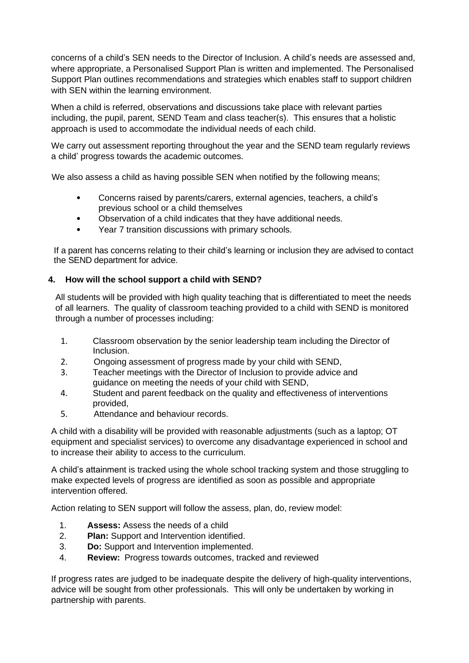concerns of a child's SEN needs to the Director of Inclusion. A child's needs are assessed and, where appropriate, a Personalised Support Plan is written and implemented. The Personalised Support Plan outlines recommendations and strategies which enables staff to support children with SEN within the learning environment.

When a child is referred, observations and discussions take place with relevant parties including, the pupil, parent, SEND Team and class teacher(s). This ensures that a holistic approach is used to accommodate the individual needs of each child.

We carry out assessment reporting throughout the year and the SEND team regularly reviews a child' progress towards the academic outcomes.

We also assess a child as having possible SEN when notified by the following means;

- Concerns raised by parents/carers, external agencies, teachers, a child's previous school or a child themselves
- Observation of a child indicates that they have additional needs.
- Year 7 transition discussions with primary schools.

If a parent has concerns relating to their child's learning or inclusion they are advised to contact the SEND department for advice.

#### <span id="page-4-0"></span>**4. How will the school support a child with SEND?**

All students will be provided with high quality teaching that is differentiated to meet the needs of all learners. The quality of classroom teaching provided to a child with SEND is monitored through a number of processes including:

- 1. Classroom observation by the senior leadership team including the Director of Inclusion.
- 2. Ongoing assessment of progress made by your child with SEND,
- 3. Teacher meetings with the Director of Inclusion to provide advice and guidance on meeting the needs of your child with SEND,
- 4. Student and parent feedback on the quality and effectiveness of interventions provided,
- 5. Attendance and behaviour records.

A child with a disability will be provided with reasonable adjustments (such as a laptop; OT equipment and specialist services) to overcome any disadvantage experienced in school and to increase their ability to access to the curriculum.

A child's attainment is tracked using the whole school tracking system and those struggling to make expected levels of progress are identified as soon as possible and appropriate intervention offered.

Action relating to SEN support will follow the assess, plan, do, review model:

- 1. **Assess:** Assess the needs of a child
- 2. **Plan:** Support and Intervention identified.
- 3. **Do:** Support and Intervention implemented.
- 4. **Review:** Progress towards outcomes, tracked and reviewed

If progress rates are judged to be inadequate despite the delivery of high-quality interventions, advice will be sought from other professionals. This will only be undertaken by working in partnership with parents.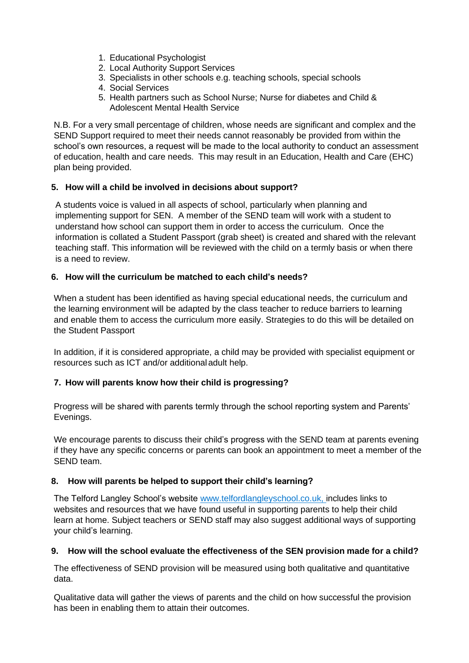- 1. Educational Psychologist
- 2. Local Authority Support Services
- 3. Specialists in other schools e.g. teaching schools, special schools
- 4. Social Services
- 5. Health partners such as School Nurse; Nurse for diabetes and Child & Adolescent Mental Health Service

N.B. For a very small percentage of children, whose needs are significant and complex and the SEND Support required to meet their needs cannot reasonably be provided from within the school's own resources, a request will be made to the local authority to conduct an assessment of education, health and care needs. This may result in an Education, Health and Care (EHC) plan being provided.

#### <span id="page-5-0"></span>**5. How will a child be involved in decisions about support?**

A students voice is valued in all aspects of school, particularly when planning and implementing support for SEN. A member of the SEND team will work with a student to understand how school can support them in order to access the curriculum. Once the information is collated a Student Passport (grab sheet) is created and shared with the relevant teaching staff. This information will be reviewed with the child on a termly basis or when there is a need to review.

#### **6. How will the curriculum be matched to each child's needs?**

When a student has been identified as having special educational needs, the curriculum and the learning environment will be adapted by the class teacher to reduce barriers to learning and enable them to access the curriculum more easily. Strategies to do this will be detailed on the Student Passport

In addition, if it is considered appropriate, a child may be provided with specialist equipment or resources such as ICT and/or additional adult help.

#### <span id="page-5-1"></span>**7. How will parents know how their child is progressing?**

Progress will be shared with parents termly through the school reporting system and Parents' Evenings.

We encourage parents to discuss their child's progress with the SEND team at parents evening if they have any specific concerns or parents can book an appointment to meet a member of the SEND team.

#### <span id="page-5-2"></span>**8. How will parents be helped to support their child's learning?**

The Telford Langley School's website www.telfordlangleyschool.co.uk, includes links to websites and resources that we have found useful in supporting parents to help their child learn at home. Subject teachers or SEND staff may also suggest additional ways of supporting your child's learning.

#### <span id="page-5-3"></span>**9. How will the school evaluate the effectiveness of the SEN provision made for a child?**

The effectiveness of SEND provision will be measured using both qualitative and quantitative data.

Qualitative data will gather the views of parents and the child on how successful the provision has been in enabling them to attain their outcomes.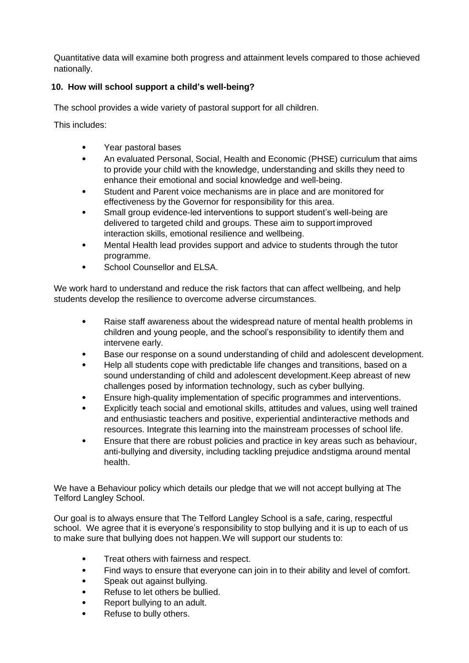Quantitative data will examine both progress and attainment levels compared to those achieved nationally.

#### **10. How will school support a child's well-being?**

The school provides a wide variety of pastoral support for all children.

This includes:

- Year pastoral bases
- An evaluated Personal, Social, Health and Economic (PHSE) curriculum that aims to provide your child with the knowledge, understanding and skills they need to enhance their emotional and social knowledge and well-being.
- Student and Parent voice mechanisms are in place and are monitored for effectiveness by the Governor for responsibility for this area.
- Small group evidence-led interventions to support student's well-being are delivered to targeted child and groups. These aim to support improved interaction skills, emotional resilience and wellbeing.
- Mental Health lead provides support and advice to students through the tutor programme.
- School Counsellor and ELSA.

We work hard to understand and reduce the risk factors that can affect wellbeing, and help students develop the resilience to overcome adverse circumstances.

- Raise staff awareness about the widespread nature of mental health problems in children and young people, and the school's responsibility to identify them and intervene early.
- Base our response on a sound understanding of child and adolescent development.
- Help all students cope with predictable life changes and transitions, based on a sound understanding of child and adolescent development.Keep abreast of new challenges posed by information technology, such as cyber bullying.
- Ensure high-quality implementation of specific programmes and interventions.
- Explicitly teach social and emotional skills, attitudes and values, using well trained and enthusiastic teachers and positive, experiential andinteractive methods and resources. Integrate this learning into the mainstream processes of school life.
- Ensure that there are robust policies and practice in key areas such as behaviour, anti-bullying and diversity, including tackling prejudice andstigma around mental health.

We have a Behaviour policy which details our pledge that we will not accept bullying at The Telford Langley School.

Our goal is to always ensure that The Telford Langley School is a safe, caring, respectful school. We agree that it is everyone's responsibility to stop bullying and it is up to each of us to make sure that bullying does not happen.We will support our students to:

- Treat others with fairness and respect.
- Find ways to ensure that everyone can join in to their ability and level of comfort.
- Speak out against bullying.
- Refuse to let others be bullied.
- Report bullying to an adult.
- Refuse to bully others.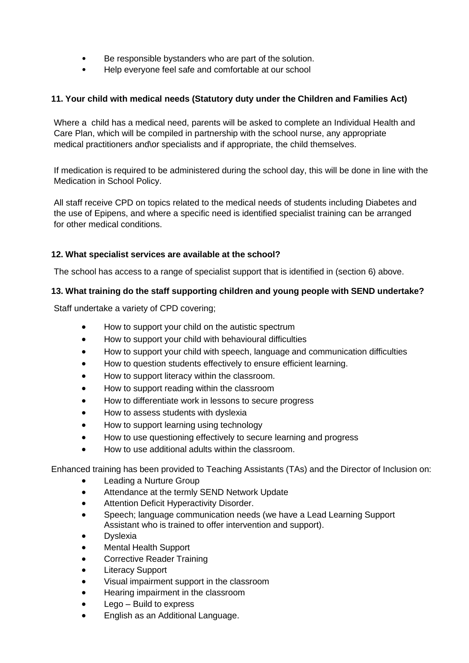- Be responsible bystanders who are part of the solution.
- Help everyone feel safe and comfortable at our school

#### <span id="page-7-0"></span>**11. Your child with medical needs (Statutory duty under the Children and Families Act)**

Where a child has a medical need, parents will be asked to complete an Individual Health and Care Plan, which will be compiled in partnership with the school nurse, any appropriate medical practitioners and\or specialists and if appropriate, the child themselves.

If medication is required to be administered during the school day, this will be done in line with the Medication in School Policy.

All staff receive CPD on topics related to the medical needs of students including Diabetes and the use of Epipens, and where a specific need is identified specialist training can be arranged for other medical conditions.

#### <span id="page-7-1"></span>**12. What specialist services are available at the school?**

The school has access to a range of specialist support that is identified in (section 6) above.

#### <span id="page-7-2"></span>**13. What training do the staff supporting children and young people with SEND undertake?**

Staff undertake a variety of CPD covering;

- How to support your child on the autistic spectrum
- How to support your child with behavioural difficulties
- How to support your child with speech, language and communication difficulties
- How to question students effectively to ensure efficient learning.
- How to support literacy within the classroom.
- How to support reading within the classroom
- How to differentiate work in lessons to secure progress
- How to assess students with dyslexia
- How to support learning using technology
- How to use questioning effectively to secure learning and progress
- How to use additional adults within the classroom.

Enhanced training has been provided to Teaching Assistants (TAs) and the Director of Inclusion on:

- Leading a Nurture Group
- Attendance at the termly SEND Network Update
- Attention Deficit Hyperactivity Disorder.
- Speech; language communication needs (we have a Lead Learning Support Assistant who is trained to offer intervention and support).
- **Dyslexia**
- Mental Health Support
- Corrective Reader Training
- **Literacy Support**
- Visual impairment support in the classroom
- Hearing impairment in the classroom
- Lego Build to express
- English as an Additional Language.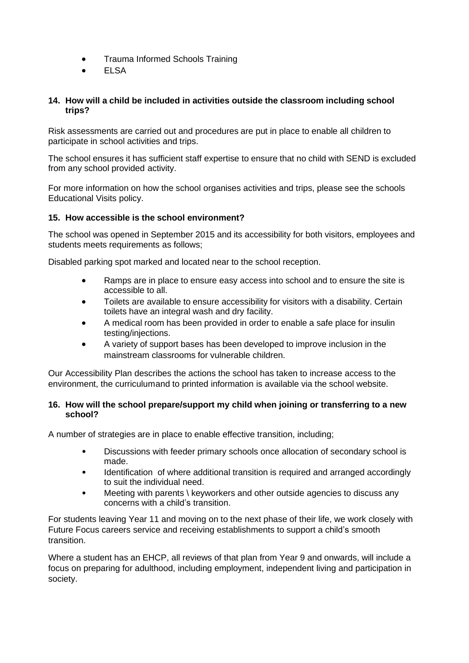- Trauma Informed Schools Training
- **ELSA**

#### **14. How will a child be included in activities outside the classroom including school trips?**

Risk assessments are carried out and procedures are put in place to enable all children to participate in school activities and trips.

The school ensures it has sufficient staff expertise to ensure that no child with SEND is excluded from any school provided activity.

For more information on how the school organises activities and trips, please see the schools Educational Visits policy.

#### **15. How accessible is the school environment?**

The school was opened in September 2015 and its accessibility for both visitors, employees and students meets requirements as follows;

Disabled parking spot marked and located near to the school reception.

- Ramps are in place to ensure easy access into school and to ensure the site is accessible to all.
- Toilets are available to ensure accessibility for visitors with a disability. Certain toilets have an integral wash and dry facility.
- A medical room has been provided in order to enable a safe place for insulin testing/injections.
- A variety of support bases has been developed to improve inclusion in the mainstream classrooms for vulnerable children.

Our Accessibility Plan describes the actions the school has taken to increase access to the environment, the curriculumand to printed information is available via the school website.

#### <span id="page-8-0"></span>**16. How will the school prepare/support my child when joining or transferring to a new school?**

A number of strategies are in place to enable effective transition, including;

- Discussions with feeder primary schools once allocation of secondary school is made.
- Identification of where additional transition is required and arranged accordingly to suit the individual need.
- Meeting with parents \ keyworkers and other outside agencies to discuss any concerns with a child's transition.

For students leaving Year 11 and moving on to the next phase of their life, we work closely with Future Focus careers service and receiving establishments to support a child's smooth transition.

Where a student has an EHCP, all reviews of that plan from Year 9 and onwards, will include a focus on preparing for adulthood, including employment, independent living and participation in society.